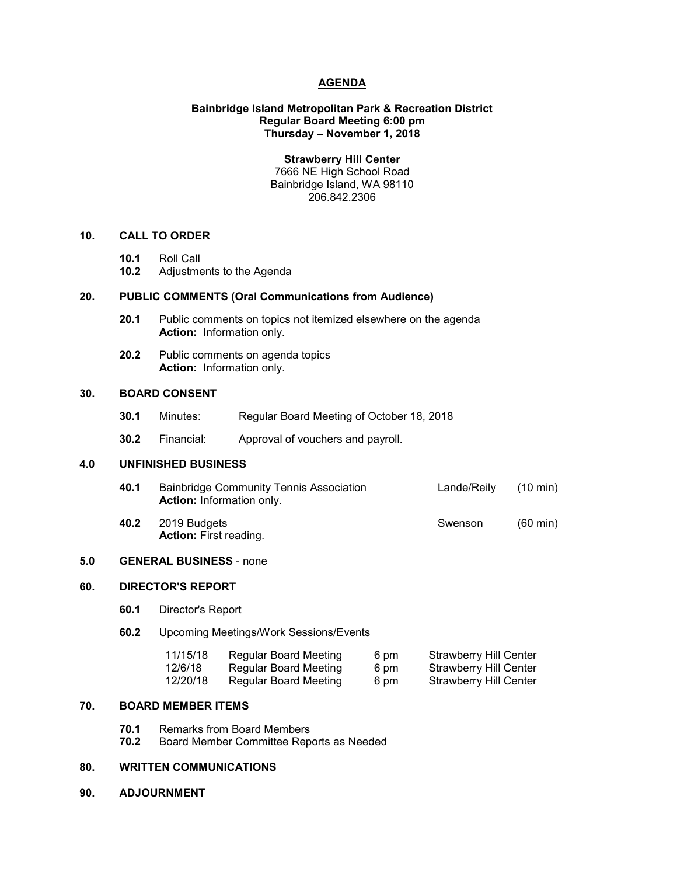# **AGENDA**

## **Bainbridge Island Metropolitan Park & Recreation District Regular Board Meeting 6:00 pm Thursday – November 1, 2018**

**Strawberry Hill Center**

7666 NE High School Road Bainbridge Island, WA 98110 206.842.2306

#### **10. CALL TO ORDER**

- **10.1** Roll Call
- **10.2** Adjustments to the Agenda

### **20. PUBLIC COMMENTS (Oral Communications from Audience)**

- **20.1** Public comments on topics not itemized elsewhere on the agenda **Action:** Information only.
- **20.2** Public comments on agenda topics **Action:** Information only.

# **30. BOARD CONSENT**

- **30.1** Minutes: Regular Board Meeting of October 18, 2018
- **30.2** Financial: Approval of vouchers and payroll.

## **4.0 UNFINISHED BUSINESS**

- **40.1** Bainbridge Community Tennis Association Lande/Reily (10 min) **Action:** Information only. **40.2** 2019 Budgets **Swenson** (60 min)
- **Action:** First reading.

# **5.0 GENERAL BUSINESS** - none

## **60. DIRECTOR'S REPORT**

- **60.1** Director's Report
- **60.2** Upcoming Meetings/Work Sessions/Events

| 11/15/18 | Regular Board Meeting | 6 pm | <b>Strawberry Hill Center</b> |
|----------|-----------------------|------|-------------------------------|
| 12/6/18  | Regular Board Meeting | 6 pm | <b>Strawberry Hill Center</b> |
| 12/20/18 | Regular Board Meeting | 6 pm | <b>Strawberry Hill Center</b> |

# **70. BOARD MEMBER ITEMS**

- **70.1** Remarks from Board Members
- **70.2** Board Member Committee Reports as Needed

# **80. WRITTEN COMMUNICATIONS**

**90. ADJOURNMENT**